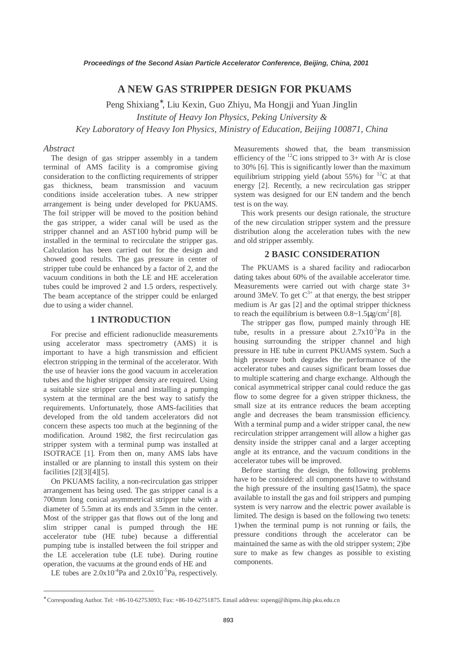# **A NEW GAS STRIPPER DESIGN FOR PKUAMS**

Peng Shixiang<sup>∗</sup> , Liu Kexin, Guo Zhiyu, Ma Hongji and Yuan Jinglin *Institute of Heavy Ion Physics, Peking University & Key Laboratory of Heavy Ion Physics, Ministry of Education, Beijing 100871, China*

#### *Abstract*

The design of gas stripper assembly in a tandem terminal of AMS facility is a compromise giving consideration to the conflicting requirements of stripper gas thickness, beam transmission and vacuum conditions inside acceleration tubes. A new stripper arrangement is being under developed for PKUAMS. The foil stripper will be moved to the position behind the gas stripper, a wider canal will be used as the stripper channel and an AST100 hybrid pump will be installed in the terminal to recirculate the stripper gas. Calculation has been carried out for the design and showed good results. The gas pressure in center of stripper tube could be enhanced by a factor of 2, and the vacuum conditions in both the LE and HE acceleration tubes could be improved 2 and 1.5 orders, respectively. The beam acceptance of the stripper could be enlarged due to using a wider channel.

#### **1 INTRODUCTION**

For precise and efficient radionuclide measurements using accelerator mass spectrometry (AMS) it is important to have a high transmission and efficient electron stripping in the terminal of the accelerator. With the use of heavier ions the good vacuum in acceleration tubes and the higher stripper density are required. Using a suitable size stripper canal and installing a pumping system at the terminal are the best way to satisfy the requirements. Unfortunately, those AMS-facilities that developed from the old tandem accelerators did not concern these aspects too much at the beginning of the modification. Around 1982, the first recirculation gas stripper system with a terminal pump was installed at ISOTRACE [1]. From then on, many AMS labs have installed or are planning to install this system on their facilities [2][3][4][5].

On PKUAMS facility, a non-recirculation gas stripper arrangement has being used. The gas stripper canal is a 700mm long conical asymmetrical stripper tube with a diameter of 5.5mm at its ends and 3.5mm in the center. Most of the stripper gas that flows out of the long and slim stripper canal is pumped through the HE accelerator tube (HE tube) because a differential pumping tube is installed between the foil stripper and the LE acceleration tube (LE tube). During routine operation, the vacuums at the ground ends of HE and

LE tubes are  $2.0x10^{-4}Pa$  and  $2.0x10^{-5}Pa$ , respectively.

 $\overline{a}$ 

Measurements showed that, the beam transmission efficiency of the <sup>12</sup>C ions stripped to 3+ with Ar is close to 30% [6]. This is significantly lower than the maximum equilibrium stripping yield (about 55%) for  ${}^{12}C$  at that energy [2]. Recently, a new recirculation gas stripper system was designed for our EN tandem and the bench test is on the way.

This work presents our design rationale, the structure of the new circulation stripper system and the pressure distribution along the acceleration tubes with the new and old stripper assembly.

# **2 BASIC CONSIDERATION**

The PKUAMS is a shared facility and radiocarbon dating takes about 60% of the available accelerator time. Measurements were carried out with charge state 3+ around 3MeV. To get  $C^{3+}$  at that energy, the best stripper medium is Ar gas [2] and the optimal stripper thickness to reach the equilibrium is between  $0.8 \sim 1.5 \mu g/cm^2$  [8].

The stripper gas flow, pumped mainly through HE tube, results in a pressure about  $2.7 \times 10^{-2}$ Pa in the housing surrounding the stripper channel and high pressure in HE tube in current PKUAMS system. Such a high pressure both degrades the performance of the accelerator tubes and causes significant beam losses due to multiple scattering and charge exchange. Although the conical asymmetrical stripper canal could reduce the gas flow to some degree for a given stripper thickness, the small size at its entrance reduces the beam accepting angle and decreases the beam transmission efficiency. With a terminal pump and a wider stripper canal, the new recirculation stripper arrangement will allow a higher gas density inside the stripper canal and a larger accepting angle at its entrance, and the vacuum conditions in the accelerator tubes will be improved.

Before starting the design, the following problems have to be considered: all components have to withstand the high pressure of the insulting gas(15atm), the space available to install the gas and foil strippers and pumping system is very narrow and the electric power available is limited. The design is based on the following two tenets: 1)when the terminal pump is not running or fails, the pressure conditions through the accelerator can be maintained the same as with the old stripper system; 2)be sure to make as few changes as possible to existing components.

<sup>∗</sup> Corresponding Author. Tel: +86-10-62753093; Fax: +86-10-62751875. Email address: sxpeng@ihipms.ihip.pku.edu.cn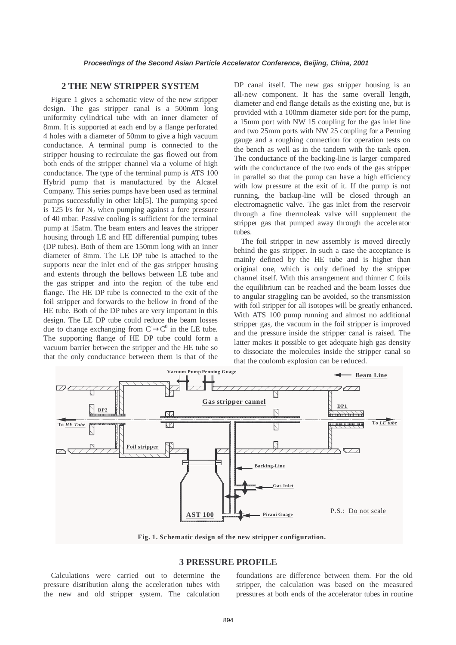#### **2 THE NEW STRIPPER SYSTEM**

Figure 1 gives a schematic view of the new stripper design. The gas stripper canal is a 500mm long uniformity cylindrical tube with an inner diameter of 8mm. It is supported at each end by a flange perforated 4 holes with a diameter of 50mm to give a high vacuum conductance. A terminal pump is connected to the stripper housing to recirculate the gas flowed out from both ends of the stripper channel via a volume of high conductance. The type of the terminal pump is ATS 100 Hybrid pump that is manufactured by the Alcatel Company. This series pumps have been used as terminal pumps successfully in other lab[5]. The pumping speed is 125  $\frac{1}{s}$  for  $N_2$  when pumping against a fore pressure of 40 mbar. Passive cooling is sufficient for the terminal pump at 15atm. The beam enters and leaves the stripper housing through LE and HE differential pumping tubes (DP tubes). Both of them are 150mm long with an inner diameter of 8mm. The LE DP tube is attached to the supports near the inlet end of the gas stripper housing and extents through the bellows between LE tube and the gas stripper and into the region of the tube end flange. The HE DP tube is connected to the exit of the foil stripper and forwards to the bellow in frond of the HE tube. Both of the DP tubes are very important in this design. The LE DP tube could reduce the beam losses due to change exchanging from  $C \rightarrow C^0$  in the LE tube. The supporting flange of HE DP tube could form a vacuum barrier between the stripper and the HE tube so that the only conductance between them is that of the

DP canal itself. The new gas stripper housing is an all-new component. It has the same overall length, diameter and end flange details as the existing one, but is provided with a 100mm diameter side port for the pump, a 15mm port with NW 15 coupling for the gas inlet line and two 25mm ports with NW 25 coupling for a Penning gauge and a roughing connection for operation tests on the bench as well as in the tandem with the tank open. The conductance of the backing-line is larger compared with the conductance of the two ends of the gas stripper in parallel so that the pump can have a high efficiency with low pressure at the exit of it. If the pump is not running, the backup-line will be closed through an electromagnetic valve. The gas inlet from the reservoir through a fine thermoleak valve will supplement the stripper gas that pumped away through the accelerator tubes.

The foil stripper in new assembly is moved directly behind the gas stripper. In such a case the acceptance is mainly defined by the HE tube and is higher than original one, which is only defined by the stripper channel itself. With this arrangement and thinner C foils the equilibrium can be reached and the beam losses due to angular straggling can be avoided, so the transmission with foil stripper for all isotopes will be greatly enhanced. With ATS 100 pump running and almost no additional stripper gas, the vacuum in the foil stripper is improved and the pressure inside the stripper canal is raised. The latter makes it possible to get adequate high gas density to dissociate the molecules inside the stripper canal so that the coulomb explosion can be reduced.



**Fig. 1. Schematic design of the new stripper configuration.**

## **3 PRESSURE PROFILE**

Calculations were carried out to determine the pressure distribution along the acceleration tubes with the new and old stripper system. The calculation

foundations are difference between them. For the old stripper, the calculation was based on the measured pressures at both ends of the accelerator tubes in routine